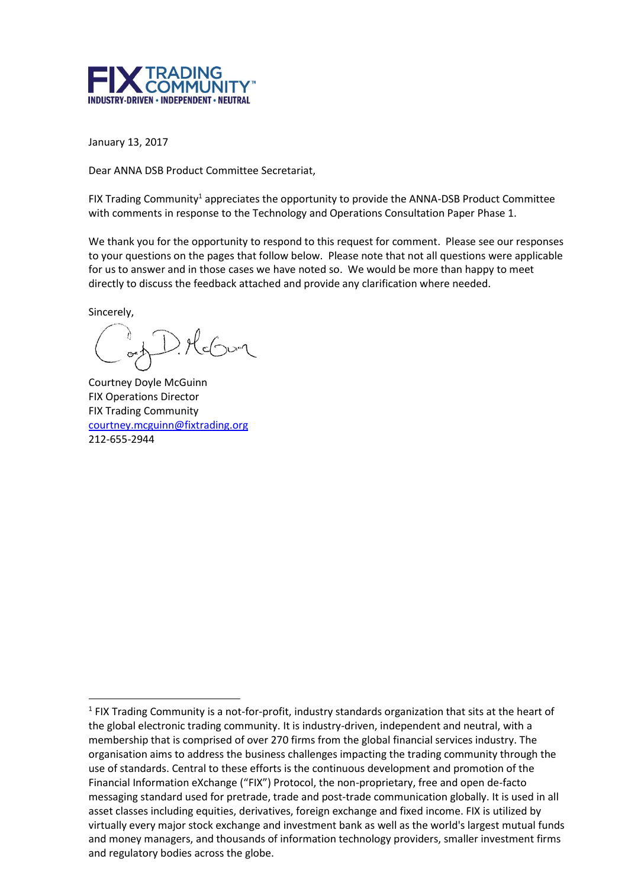

January 13, 2017

Dear ANNA DSB Product Committee Secretariat,

FIX Trading Community<sup>1</sup> appreciates the opportunity to provide the ANNA-DSB Product Committee with comments in response to the Technology and Operations Consultation Paper Phase 1.

We thank you for the opportunity to respond to this request for comment. Please see our responses to your questions on the pages that follow below. Please note that not all questions were applicable for us to answer and in those cases we have noted so. We would be more than happy to meet directly to discuss the feedback attached and provide any clarification where needed.

Sincerely,

1

 $\geqslant \mathcal{H}_{\leqslant \bigcirc \cup_{\mathcal{P}} \cap \mathcal{P}}$ 

Courtney Doyle McGuinn FIX Operations Director FIX Trading Community [courtney.mcguinn@fixtrading.org](mailto:courtney.mcguinn@fixtrading.org) 212-655-2944

 $<sup>1</sup>$  FIX Trading Community is a not-for-profit, industry standards organization that sits at the heart of</sup> the global electronic trading community. It is industry-driven, independent and neutral, with a membership that is comprised of over 270 firms from the global financial services industry. The organisation aims to address the business challenges impacting the trading community through the use of standards. Central to these efforts is the continuous development and promotion of the Financial Information eXchange ("FIX") Protocol, the non-proprietary, free and open de-facto messaging standard used for pretrade, trade and post-trade communication globally. It is used in all asset classes including equities, derivatives, foreign exchange and fixed income. FIX is utilized by virtually every major stock exchange and investment bank as well as the world's largest mutual funds and money managers, and thousands of information technology providers, smaller investment firms and regulatory bodies across the globe.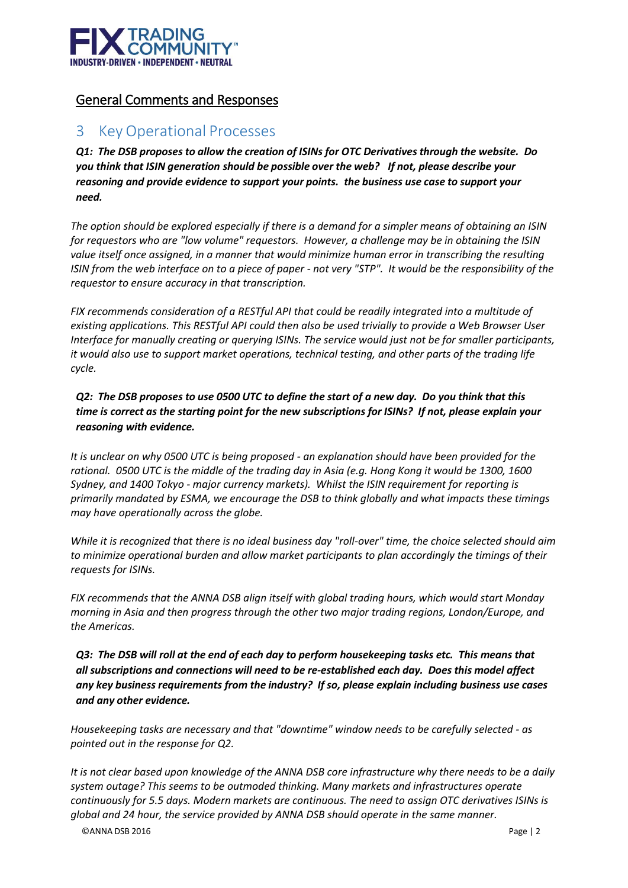

#### General Comments and Responses

## 3 Key Operational Processes

*Q1: The DSB proposes to allow the creation of ISINs for OTC Derivatives through the website. Do you think that ISIN generation should be possible over the web? If not, please describe your reasoning and provide evidence to support your points. the business use case to support your need.*

*The option should be explored especially if there is a demand for a simpler means of obtaining an ISIN for requestors who are "low volume" requestors. However, a challenge may be in obtaining the ISIN*  value itself once assigned, in a manner that would minimize human error in transcribing the resulting *ISIN from the web interface on to a piece of paper - not very "STP". It would be the responsibility of the requestor to ensure accuracy in that transcription.*

*FIX recommends consideration of a RESTful API that could be readily integrated into a multitude of existing applications. This RESTful API could then also be used trivially to provide a Web Browser User Interface for manually creating or querying ISINs. The service would just not be for smaller participants, it would also use to support market operations, technical testing, and other parts of the trading life cycle.*

#### *Q2: The DSB proposes to use 0500 UTC to define the start of a new day. Do you think that this time is correct as the starting point for the new subscriptions for ISINs? If not, please explain your reasoning with evidence.*

*It is unclear on why 0500 UTC is being proposed - an explanation should have been provided for the rational. 0500 UTC is the middle of the trading day in Asia (e.g. Hong Kong it would be 1300, 1600 Sydney, and 1400 Tokyo - major currency markets). Whilst the ISIN requirement for reporting is primarily mandated by ESMA, we encourage the DSB to think globally and what impacts these timings may have operationally across the globe.*

*While it is recognized that there is no ideal business day "roll-over" time, the choice selected should aim to minimize operational burden and allow market participants to plan accordingly the timings of their requests for ISINs.*

*FIX recommends that the ANNA DSB align itself with global trading hours, which would start Monday morning in Asia and then progress through the other two major trading regions, London/Europe, and the Americas.*

*Q3: The DSB will roll at the end of each day to perform housekeeping tasks etc. This means that all subscriptions and connections will need to be re-established each day. Does this model affect any key business requirements from the industry? If so, please explain including business use cases and any other evidence.*

*Housekeeping tasks are necessary and that "downtime" window needs to be carefully selected - as pointed out in the response for Q2.*

*It is not clear based upon knowledge of the ANNA DSB core infrastructure why there needs to be a daily system outage? This seems to be outmoded thinking. Many markets and infrastructures operate continuously for 5.5 days. Modern markets are continuous. The need to assign OTC derivatives ISINs is global and 24 hour, the service provided by ANNA DSB should operate in the same manner.*

©ANNA DSB 2016 Page | 2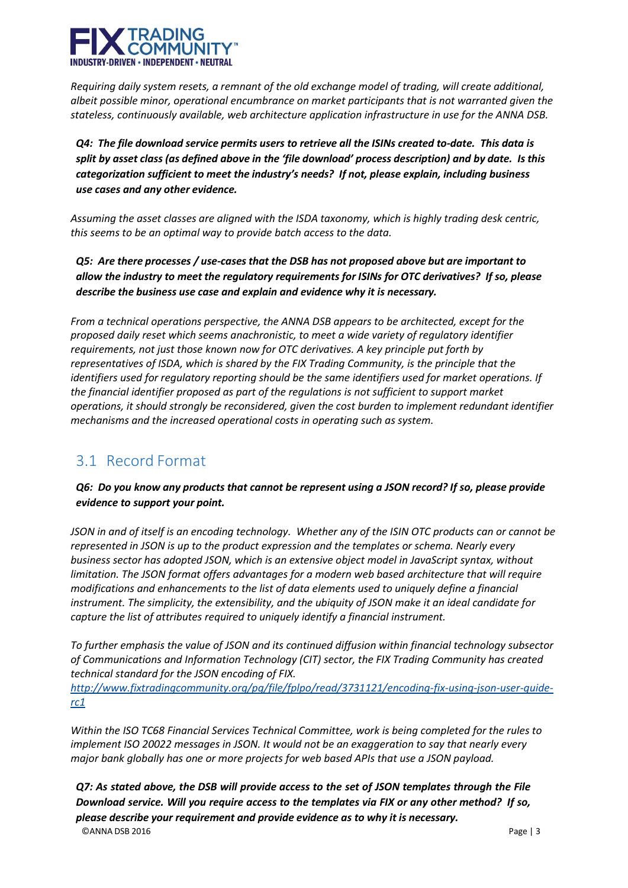

*Requiring daily system resets, a remnant of the old exchange model of trading, will create additional, albeit possible minor, operational encumbrance on market participants that is not warranted given the stateless, continuously available, web architecture application infrastructure in use for the ANNA DSB.*

*Q4: The file download service permits users to retrieve all the ISINs created to-date. This data is split by asset class (as defined above in the 'file download' process description) and by date. Is this categorization sufficient to meet the industry's needs? If not, please explain, including business use cases and any other evidence.*

*Assuming the asset classes are aligned with the ISDA taxonomy, which is highly trading desk centric, this seems to be an optimal way to provide batch access to the data.*

*Q5: Are there processes / use-cases that the DSB has not proposed above but are important to allow the industry to meet the regulatory requirements for ISINs for OTC derivatives? If so, please describe the business use case and explain and evidence why it is necessary.*

*From a technical operations perspective, the ANNA DSB appears to be architected, except for the proposed daily reset which seems anachronistic, to meet a wide variety of regulatory identifier requirements, not just those known now for OTC derivatives. A key principle put forth by representatives of ISDA, which is shared by the FIX Trading Community, is the principle that the identifiers used for regulatory reporting should be the same identifiers used for market operations. If the financial identifier proposed as part of the regulations is not sufficient to support market operations, it should strongly be reconsidered, given the cost burden to implement redundant identifier mechanisms and the increased operational costs in operating such as system.*

## 3.1 Record Format

*Q6: Do you know any products that cannot be represent using a JSON record? If so, please provide evidence to support your point.*

*JSON in and of itself is an encoding technology. Whether any of the ISIN OTC products can or cannot be represented in JSON is up to the product expression and the templates or schema. Nearly every business sector has adopted JSON, which is an extensive object model in JavaScript syntax, without limitation. The JSON format offers advantages for a modern web based architecture that will require modifications and enhancements to the list of data elements used to uniquely define a financial instrument. The simplicity, the extensibility, and the ubiquity of JSON make it an ideal candidate for capture the list of attributes required to uniquely identify a financial instrument.*

*To further emphasis the value of JSON and its continued diffusion within financial technology subsector of Communications and Information Technology (CIT) sector, the FIX Trading Community has created technical standard for the JSON encoding of FIX.*

*[http://www.fixtradingcommunity.org/pg/file/fplpo/read/3731121/encoding-fix-using-json-user-guide](http://www.fixtradingcommunity.org/pg/file/fplpo/read/3731121/encoding-fix-using-json-user-guide-rc1)[rc1](http://www.fixtradingcommunity.org/pg/file/fplpo/read/3731121/encoding-fix-using-json-user-guide-rc1)*

*Within the ISO TC68 Financial Services Technical Committee, work is being completed for the rules to implement ISO 20022 messages in JSON. It would not be an exaggeration to say that nearly every major bank globally has one or more projects for web based APIs that use a JSON payload.*

©ANNA DSB 2016 Page | 3 *Q7: As stated above, the DSB will provide access to the set of JSON templates through the File Download service. Will you require access to the templates via FIX or any other method? If so, please describe your requirement and provide evidence as to why it is necessary.*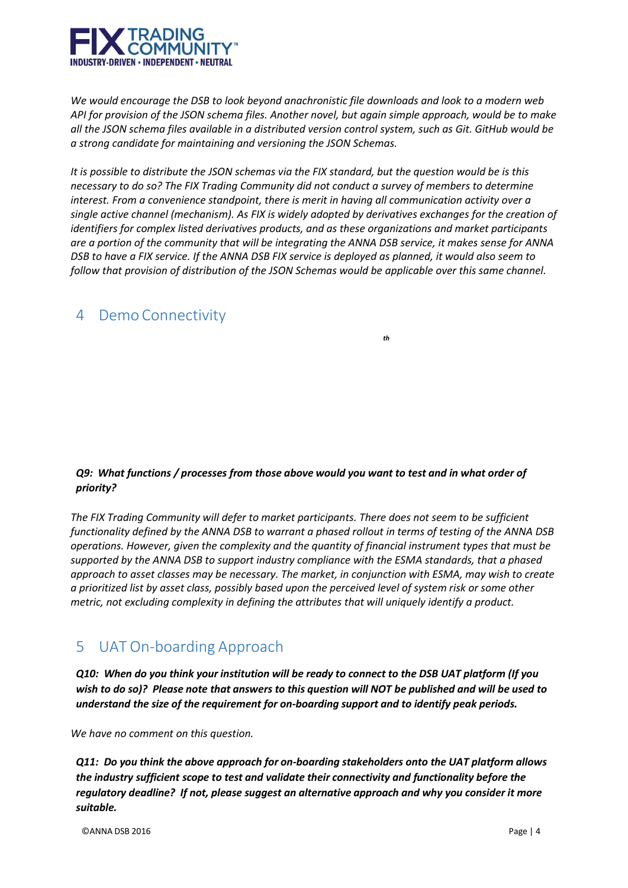

*We would encourage the DSB to look beyond anachronistic file downloads and look to a modern web* API for provision of the JSON schema files. Another novel, but again simple approach, would be to make all the JSON schema files available in a distributed version control system, such as Git. GitHub would be *a strong candidate for maintaining and versioning the JSON Schemas.*

It is possible to distribute the JSON schemas via the FIX standard, but the question would be is this *necessary to do so? The FIX Trading Community did not conduct a survey of members to determine interest. From a convenience standpoint, there is merit in having all communication activity over a single active channel (mechanism). As FIX is widely adopted by derivatives exchanges for the creation of identifiers for complex listed derivatives products, and as these organizations and market participants* are a portion of the community that will be integrating the ANNA DSB service, it makes sense for ANNA DSB to have a FIX service. If the ANNA DSB FIX service is deployed as planned, it would also seem to *follow that provision of distribution of the JSON Schemas would be applicable over this same channel.*

### 4 Demo Connectivity

*th*

#### *Q9: What functions / processes from those above would you want to test and in what order of priority?*

*The FIX Trading Community will defer to market participants. There does not seem to be sufficient* functionality defined by the ANNA DSB to warrant a phased rollout in terms of testing of the ANNA DSB *operations. However, given the complexity and the quantity of financial instrument types that must be supported by the ANNA DSB to support industry compliance with the ESMA standards, that a phased approach to asset classes may be necessary. The market, in conjunction with ESMA, may wish to create* a prioritized list by asset class, possibly based upon the perceived level of system risk or some other *metric, not excluding complexity in defining the attributes that will uniquely identify a product.*

# 5 UAT On-boarding Approach

Q10: When do you think your institution will be ready to connect to the DSB UAT platform (If you wish to do so)? Please note that answers to this question will NOT be published and will be used to *understand the size of the requirement for on-boarding support and to identify peak periods.*

*We have no comment on this question.*

*Q11: Do you think the above approach for on-boarding stakeholders onto the UAT platform allows the industry sufficient scope to test and validate their connectivity and functionality before the regulatory deadline? If not, please suggest an alternative approach and why you consider it more suitable.*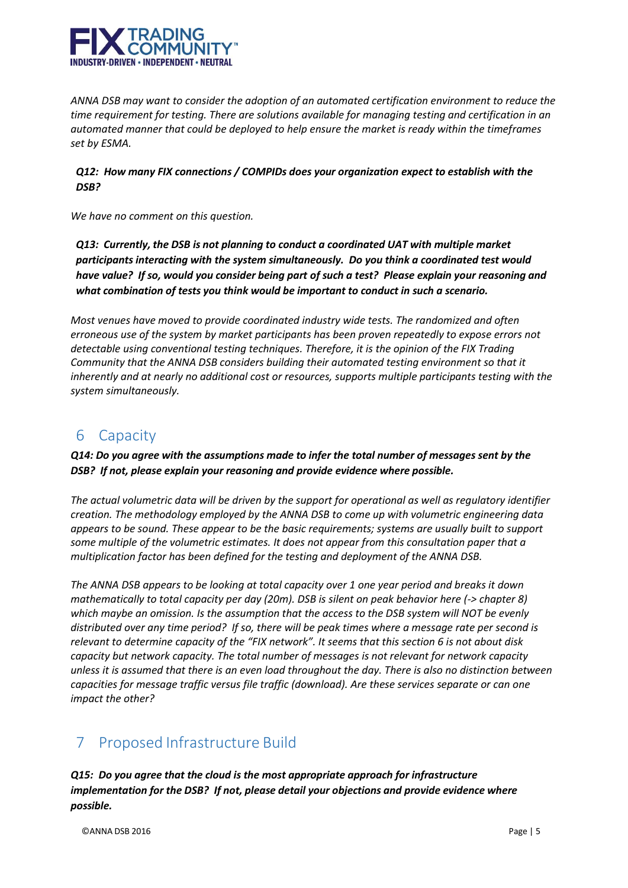

*ANNA DSB may want to consider the adoption of an automated certification environment to reduce the time requirement for testing. There are solutions available for managing testing and certification in an automated manner that could be deployed to help ensure the market is ready within the timeframes set by ESMA.*

#### *Q12: How many FIX connections / COMPIDs does your organization expect to establish with the DSB?*

*We have no comment on this question.*

*Q13: Currently, the DSB is not planning to conduct a coordinated UAT with multiple market participants interacting with the system simultaneously. Do you think a coordinated test would have value? If so, would you consider being part of such a test? Please explain your reasoning and what combination of tests you think would be important to conduct in such a scenario.*

*Most venues have moved to provide coordinated industry wide tests. The randomized and often erroneous use of the system by market participants has been proven repeatedly to expose errors not detectable using conventional testing techniques. Therefore, it is the opinion of the FIX Trading Community that the ANNA DSB considers building their automated testing environment so that it inherently and at nearly no additional cost or resources, supports multiple participants testing with the system simultaneously.*

### 6 Capacity

*Q14: Do you agree with the assumptions made to infer the total number of messages sent by the DSB? If not, please explain your reasoning and provide evidence where possible.*

*The actual volumetric data will be driven by the support for operational as well as regulatory identifier creation. The methodology employed by the ANNA DSB to come up with volumetric engineering data appears to be sound. These appear to be the basic requirements; systems are usually built to support some multiple of the volumetric estimates. It does not appear from this consultation paper that a multiplication factor has been defined for the testing and deployment of the ANNA DSB.*

*The ANNA DSB appears to be looking at total capacity over 1 one year period and breaks it down mathematically to total capacity per day (20m). DSB is silent on peak behavior here (-> chapter 8) which maybe an omission. Is the assumption that the access to the DSB system will NOT be evenly distributed over any time period? If so, there will be peak times where a message rate per second is relevant to determine capacity of the "FIX network". It seems that this section 6 is not about disk capacity but network capacity. The total number of messages is not relevant for network capacity unless it is assumed that there is an even load throughout the day. There is also no distinction between capacities for message traffic versus file traffic (download). Are these services separate or can one impact the other?*

# 7 Proposed Infrastructure Build

*Q15: Do you agree that the cloud is the most appropriate approach for infrastructure implementation for the DSB? If not, please detail your objections and provide evidence where possible.*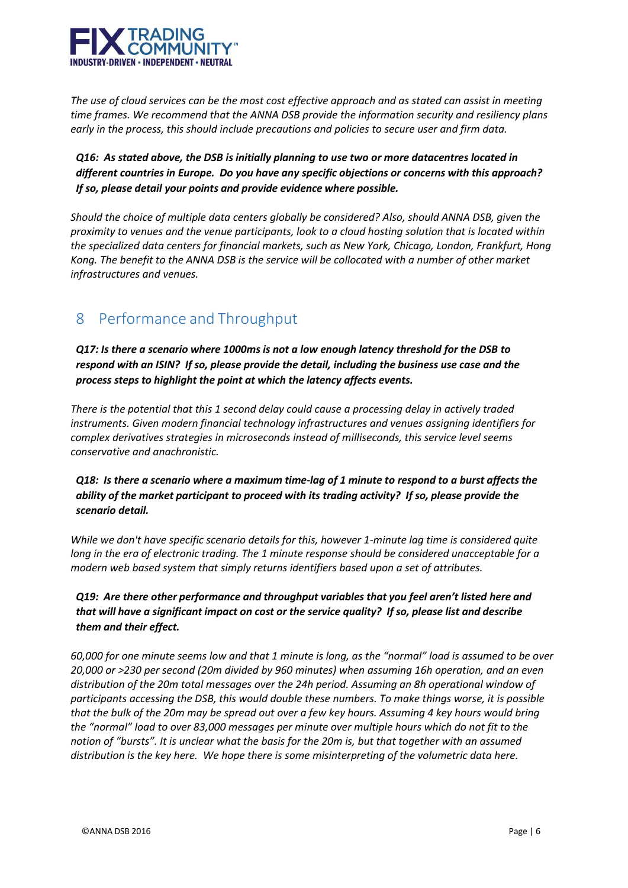

*The use of cloud services can be the most cost effective approach and as stated can assist in meeting time frames. We recommend that the ANNA DSB provide the information security and resiliency plans early in the process, this should include precautions and policies to secure user and firm data.*

*Q16: As stated above, the DSB is initially planning to use two or more datacentres located in different countries in Europe. Do you have any specific objections or concerns with this approach? If so, please detail your points and provide evidence where possible.*

*Should the choice of multiple data centers globally be considered? Also, should ANNA DSB, given the proximity to venues and the venue participants, look to a cloud hosting solution that is located within the specialized data centers for financial markets, such as New York, Chicago, London, Frankfurt, Hong Kong. The benefit to the ANNA DSB is the service will be collocated with a number of other market infrastructures and venues.*

## 8 Performance and Throughput

*Q17: Is there a scenario where 1000ms is not a low enough latency threshold for the DSB to respond with an ISIN? If so, please provide the detail, including the business use case and the process steps to highlight the point at which the latency affects events.*

*There is the potential that this 1 second delay could cause a processing delay in actively traded instruments. Given modern financial technology infrastructures and venues assigning identifiers for complex derivatives strategies in microseconds instead of milliseconds, this service level seems conservative and anachronistic.*

*Q18: Is there a scenario where a maximum time-lag of 1 minute to respond to a burst affects the ability of the market participant to proceed with its trading activity? If so, please provide the scenario detail.*

*While we don't have specific scenario details for this, however 1-minute lag time is considered quite long in the era of electronic trading. The 1 minute response should be considered unacceptable for a modern web based system that simply returns identifiers based upon a set of attributes.*

*Q19: Are there other performance and throughput variables that you feel aren't listed here and that will have a significant impact on cost or the service quality? If so, please list and describe them and their effect.*

*60,000 for one minute seems low and that 1 minute is long, as the "normal" load is assumed to be over 20,000 or >230 per second (20m divided by 960 minutes) when assuming 16h operation, and an even distribution of the 20m total messages over the 24h period. Assuming an 8h operational window of participants accessing the DSB, this would double these numbers. To make things worse, it is possible that the bulk of the 20m may be spread out over a few key hours. Assuming 4 key hours would bring the "normal" load to over 83,000 messages per minute over multiple hours which do not fit to the notion of "bursts". It is unclear what the basis for the 20m is, but that together with an assumed distribution is the key here. We hope there is some misinterpreting of the volumetric data here.*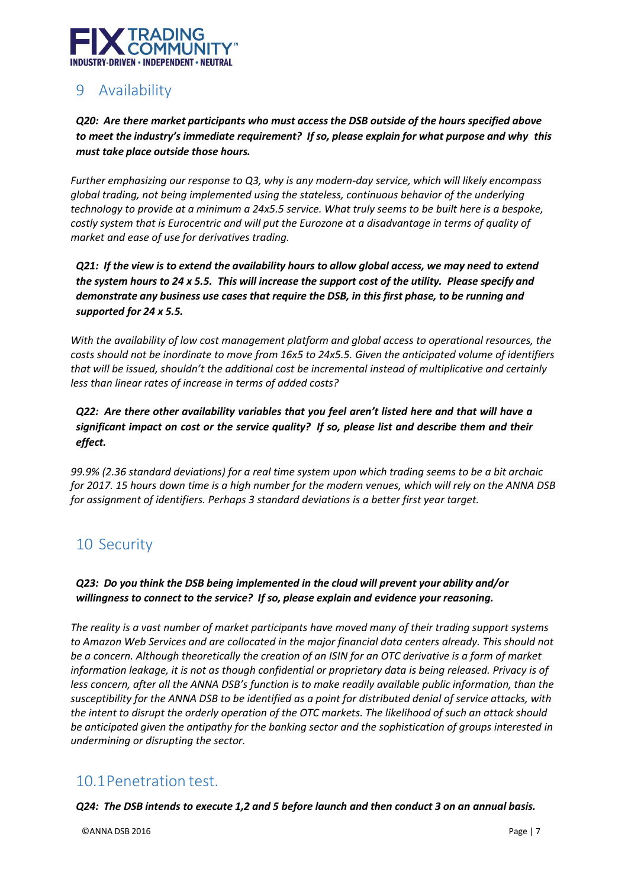

# 9 Availability

*Q20: Are there market participants who must accessthe DSB outside of the hours specified above to meet the industry's immediate requirement? If so, please explain for what purpose and why this must take place outside those hours.*

*Further emphasizing our response to Q3, why is any modern-day service, which will likely encompass global trading, not being implemented using the stateless, continuous behavior of the underlying technology to provide at a minimum a 24x5.5 service. What truly seems to be built here is a bespoke, costly system that is Eurocentric and will put the Eurozone at a disadvantage in terms of quality of market and ease of use for derivatives trading.*

*Q21: If the view is to extend the availability hours to allow global access, we may need to extend the system hours to 24 x 5.5. This will increase the support cost of the utility. Please specify and demonstrate any business use cases that require the DSB, in this first phase, to be running and supported for 24 x 5.5.*

*With the availability of low cost management platform and global access to operational resources, the costs should not be inordinate to move from 16x5 to 24x5.5. Given the anticipated volume of identifiers that will be issued, shouldn't the additional cost be incremental instead of multiplicative and certainly less than linear rates of increase in terms of added costs?*

*Q22: Are there other availability variables that you feel aren't listed here and that will have a significant impact on cost or the service quality? If so, please list and describe them and their effect.*

*99.9% (2.36 standard deviations) for a real time system upon which trading seems to be a bit archaic for 2017. 15 hours down time is a high number for the modern venues, which will rely on the ANNA DSB for assignment of identifiers. Perhaps 3 standard deviations is a better first year target.*

## 10 Security

*Q23: Do you think the DSB being implemented in the cloud will prevent your ability and/or willingness to connect to the service? If so, please explain and evidence your reasoning.*

*The reality is a vast number of market participants have moved many of their trading support systems to Amazon Web Services and are collocated in the major financial data centers already. This should not be a concern. Although theoretically the creation of an ISIN for an OTC derivative is a form of market information leakage, it is not as though confidential or proprietary data is being released. Privacy is of less concern, after all the ANNA DSB's function is to make readily available public information, than the susceptibility for the ANNA DSB to be identified as a point for distributed denial of service attacks, with the intent to disrupt the orderly operation of the OTC markets. The likelihood of such an attack should be anticipated given the antipathy for the banking sector and the sophistication of groups interested in undermining or disrupting the sector.*

## 10.1Penetration test.

*Q24: The DSB intends to execute 1,2 and 5 before launch and then conduct 3 on an annual basis.*

©ANNA DSB 2016 Page | 7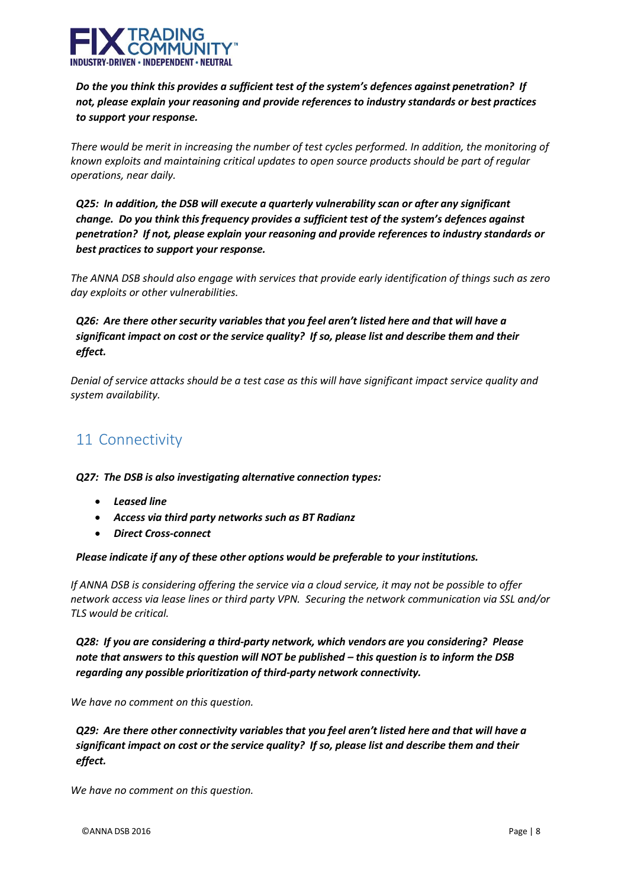

*Do the you think this provides a sufficient test of the system's defences against penetration? If not, please explain your reasoning and provide references to industry standards or best practices to support your response.*

*There would be merit in increasing the number of test cycles performed. In addition, the monitoring of known exploits and maintaining critical updates to open source products should be part of regular operations, near daily.*

*Q25: In addition, the DSB will execute a quarterly vulnerability scan or after any significant change. Do you think this frequency provides a sufficient test of the system's defences against penetration? If not, please explain your reasoning and provide references to industry standards or best practices to support your response.*

*The ANNA DSB should also engage with services that provide early identification of things such as zero day exploits or other vulnerabilities.*

*Q26: Are there other security variables that you feel aren't listed here and that will have a significant impact on cost or the service quality? If so, please list and describe them and their effect.*

*Denial of service attacks should be a test case as this will have significant impact service quality and system availability.*

## 11 Connectivity

*Q27: The DSB is also investigating alternative connection types:*

- *Leased line*
- *Access via third party networks such as BT Radianz*
- *Direct Cross-connect*

#### *Please indicate if any of these other options would be preferable to your institutions.*

*If ANNA DSB is considering offering the service via a cloud service, it may not be possible to offer network access via lease lines or third party VPN. Securing the network communication via SSL and/or TLS would be critical.*

*Q28: If you are considering a third-party network, which vendors are you considering? Please note that answers to this question will NOT be published – this question is to inform the DSB regarding any possible prioritization of third-party network connectivity.*

*We have no comment on this question.*

*Q29: Are there other connectivity variables that you feel aren't listed here and that will have a significant impact on cost or the service quality? If so, please list and describe them and their effect.*

*We have no comment on this question.*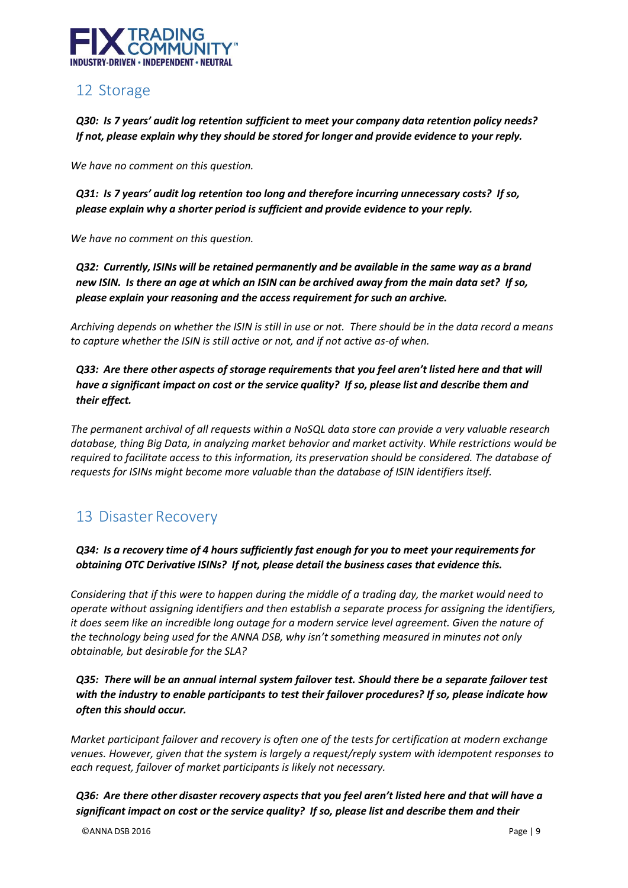

## 12 Storage

*Q30: Is 7 years' audit log retention sufficient to meet your company data retention policy needs? If not, please explain why they should be stored for longer and provide evidence to your reply.*

*We have no comment on this question.*

*Q31: Is 7 years' audit log retention too long and therefore incurring unnecessary costs? If so, please explain why a shorter period is sufficient and provide evidence to your reply.*

*We have no comment on this question.*

*Q32: Currently, ISINs will be retained permanently and be available in the same way as a brand new ISIN. Is there an age at which an ISIN can be archived away from the main data set? If so, please explain your reasoning and the access requirement for such an archive.*

*Archiving depends on whether the ISIN is still in use or not. There should be in the data record a means to capture whether the ISIN is still active or not, and if not active as-of when.*

*Q33: Are there other aspects of storage requirements that you feel aren't listed here and that will have a significant impact on cost or the service quality? If so, please list and describe them and their effect.*

*The permanent archival of all requests within a NoSQL data store can provide a very valuable research database, thing Big Data, in analyzing market behavior and market activity. While restrictions would be required to facilitate access to this information, its preservation should be considered. The database of requests for ISINs might become more valuable than the database of ISIN identifiers itself.*

## 13 Disaster Recovery

*Q34: Is a recovery time of 4 hours sufficiently fast enough for you to meet your requirements for obtaining OTC Derivative ISINs? If not, please detail the business cases that evidence this.*

*Considering that if this were to happen during the middle of a trading day, the market would need to operate without assigning identifiers and then establish a separate process for assigning the identifiers, it does seem like an incredible long outage for a modern service level agreement. Given the nature of the technology being used for the ANNA DSB, why isn't something measured in minutes not only obtainable, but desirable for the SLA?*

*Q35: There will be an annual internal system failover test. Should there be a separate failover test with the industry to enable participants to test their failover procedures? If so, please indicate how often this should occur.*

*Market participant failover and recovery is often one of the tests for certification at modern exchange venues. However, given that the system is largely a request/reply system with idempotent responses to each request, failover of market participants is likely not necessary.*

*Q36: Are there other disaster recovery aspects that you feel aren't listed here and that will have a significant impact on cost or the service quality? If so, please list and describe them and their*

©ANNA DSB 2016 Page | 9